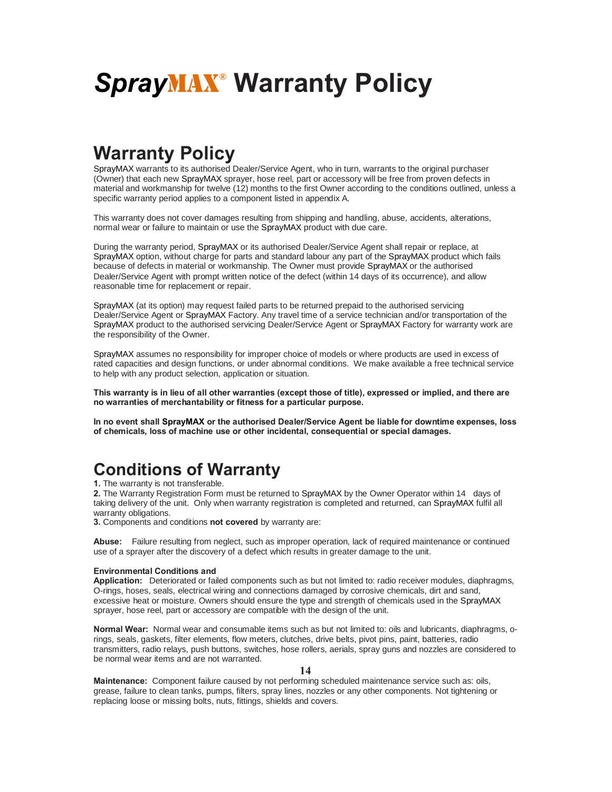# *Spray*MAX**® Warranty Policy**

## **Warranty Policy**

SprayMAX warrants to its authorised Dealer/Service Agent, who in turn, warrants to the original purchaser (Owner) that each new SprayMAX sprayer, hose reel, part or accessory will be free from proven defects in material and workmanship for twelve (12) months to the first Owner according to the conditions outlined, unless a specific warranty period applies to a component listed in appendix A.

This warranty does not cover damages resulting from shipping and handling, abuse, accidents, alterations, normal wear or failure to maintain or use the SprayMAX product with due care.

During the warranty period, SprayMAX or its authorised Dealer/Service Agent shall repair or replace, at SprayMAX option, without charge for parts and standard labour any part of the SprayMAX product which fails because of defects in material or workmanship. The Owner must provide SprayMAX or the authorised Dealer/Service Agent with prompt written notice of the defect (within 14 days of its occurrence), and allow reasonable time for replacement or repair.

SprayMAX (at its option) may request failed parts to be returned prepaid to the authorised servicing Dealer/Service Agent or SprayMAX Factory. Any travel time of a service technician and/or transportation of the SprayMAX product to the authorised servicing Dealer/Service Agent or SprayMAX Factory for warranty work are the responsibility of the Owner.

SprayMAX assumes no responsibility for improper choice of models or where products are used in excess of rated capacities and design functions, or under abnormal conditions. We make available a free technical service to help with any product selection, application or situation.

**This warranty is in lieu of all other warranties (except those of title), expressed or implied, and there are no warranties of merchantability or fitness for a particular purpose.**

**In no event shall SprayMAX or the authorised Dealer/Service Agent be liable for downtime expenses, loss of chemicals, loss of machine use or other incidental, consequential or special damages.**

### **Conditions of Warranty**

**1.** The warranty is not transferable.

**2.** The Warranty Registration Form must be returned to SprayMAX by the Owner Operator within 14 days of taking delivery of the unit. Only when warranty registration is completed and returned, can SprayMAX fulfil all warranty obligations.

**3.** Components and conditions **not covered** by warranty are:

**Abuse:** Failure resulting from neglect, such as improper operation, lack of required maintenance or continued use of a sprayer after the discovery of a defect which results in greater damage to the unit.

#### **Environmental Conditions and**

**Application:** Deteriorated or failed components such as but not limited to: radio receiver modules, diaphragms, O-rings, hoses, seals, electrical wiring and connections damaged by corrosive chemicals, dirt and sand, excessive heat or moisture. Owners should ensure the type and strength of chemicals used in the SprayMAX sprayer, hose reel, part or accessory are compatible with the design of the unit.

**Normal Wear:** Normal wear and consumable items such as but not limited to: oils and lubricants, diaphragms, orings, seals, gaskets, filter elements, flow meters, clutches, drive belts, pivot pins, paint, batteries, radio transmitters, radio relays, push buttons, switches, hose rollers, aerials, spray guns and nozzles are considered to be normal wear items and are not warranted.

**14**

**Maintenance:** Component failure caused by not performing scheduled maintenance service such as: oils, grease, failure to clean tanks, pumps, filters, spray lines, nozzles or any other components. Not tightening or replacing loose or missing bolts, nuts, fittings, shields and covers.